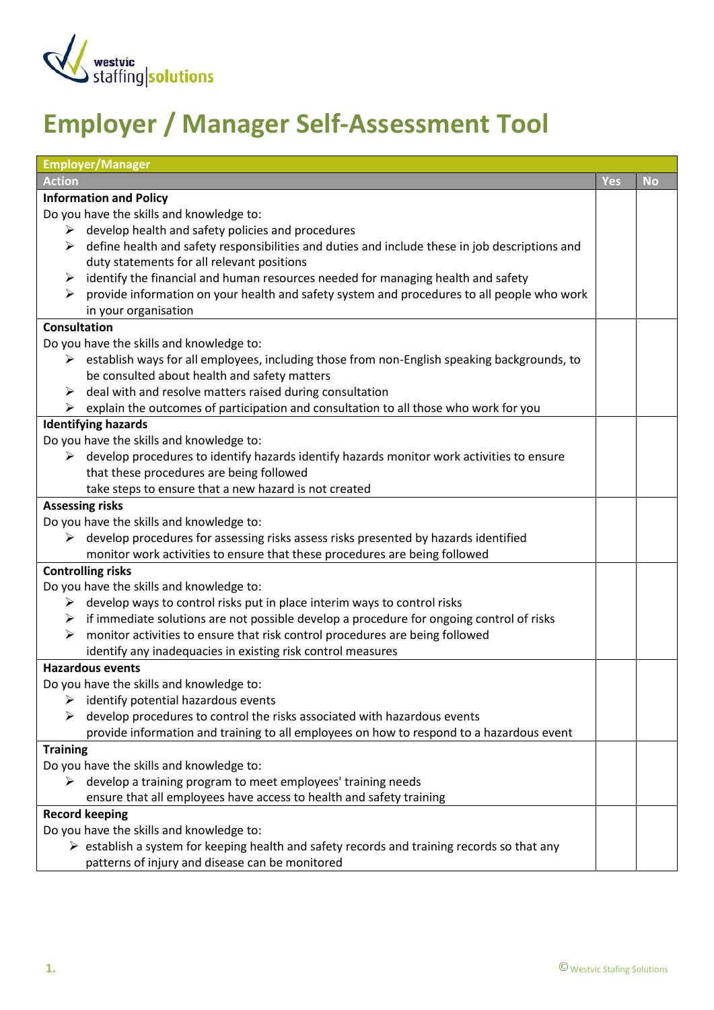

## **Employer / Manager Self-Assessment Tool**

| <b>Employer/Manager</b>                                                                                      |            |           |
|--------------------------------------------------------------------------------------------------------------|------------|-----------|
| <b>Action</b>                                                                                                | <b>Yes</b> | <b>No</b> |
| <b>Information and Policy</b>                                                                                |            |           |
| Do you have the skills and knowledge to:                                                                     |            |           |
| $\triangleright$ develop health and safety policies and procedures                                           |            |           |
| define health and safety responsibilities and duties and include these in job descriptions and<br>➤          |            |           |
| duty statements for all relevant positions                                                                   |            |           |
| identify the financial and human resources needed for managing health and safety<br>➤                        |            |           |
| $\triangleright$ provide information on your health and safety system and procedures to all people who work  |            |           |
| in your organisation                                                                                         |            |           |
| <b>Consultation</b>                                                                                          |            |           |
| Do you have the skills and knowledge to:                                                                     |            |           |
| $\triangleright$ establish ways for all employees, including those from non-English speaking backgrounds, to |            |           |
| be consulted about health and safety matters                                                                 |            |           |
| deal with and resolve matters raised during consultation<br>➤                                                |            |           |
| $\triangleright$ explain the outcomes of participation and consultation to all those who work for you        |            |           |
| <b>Identifying hazards</b>                                                                                   |            |           |
| Do you have the skills and knowledge to:                                                                     |            |           |
| $\triangleright$ develop procedures to identify hazards identify hazards monitor work activities to ensure   |            |           |
| that these procedures are being followed                                                                     |            |           |
| take steps to ensure that a new hazard is not created                                                        |            |           |
| <b>Assessing risks</b>                                                                                       |            |           |
| Do you have the skills and knowledge to:                                                                     |            |           |
| develop procedures for assessing risks assess risks presented by hazards identified                          |            |           |
| monitor work activities to ensure that these procedures are being followed                                   |            |           |
| <b>Controlling risks</b>                                                                                     |            |           |
| Do you have the skills and knowledge to:                                                                     |            |           |
| develop ways to control risks put in place interim ways to control risks                                     |            |           |
| $\triangleright$ if immediate solutions are not possible develop a procedure for ongoing control of risks    |            |           |
| monitor activities to ensure that risk control procedures are being followed<br>➤                            |            |           |
| identify any inadequacies in existing risk control measures                                                  |            |           |
| <b>Hazardous events</b>                                                                                      |            |           |
| Do you have the skills and knowledge to:                                                                     |            |           |
| identify potential hazardous events                                                                          |            |           |
| develop procedures to control the risks associated with hazardous events                                     |            |           |
| provide information and training to all employees on how to respond to a hazardous event                     |            |           |
| <b>Training</b>                                                                                              |            |           |
| Do you have the skills and knowledge to:                                                                     |            |           |
| $\triangleright$ develop a training program to meet employees' training needs                                |            |           |
| ensure that all employees have access to health and safety training                                          |            |           |
| <b>Record keeping</b>                                                                                        |            |           |
| Do you have the skills and knowledge to:                                                                     |            |           |
| $\triangleright$ establish a system for keeping health and safety records and training records so that any   |            |           |
| patterns of injury and disease can be monitored                                                              |            |           |